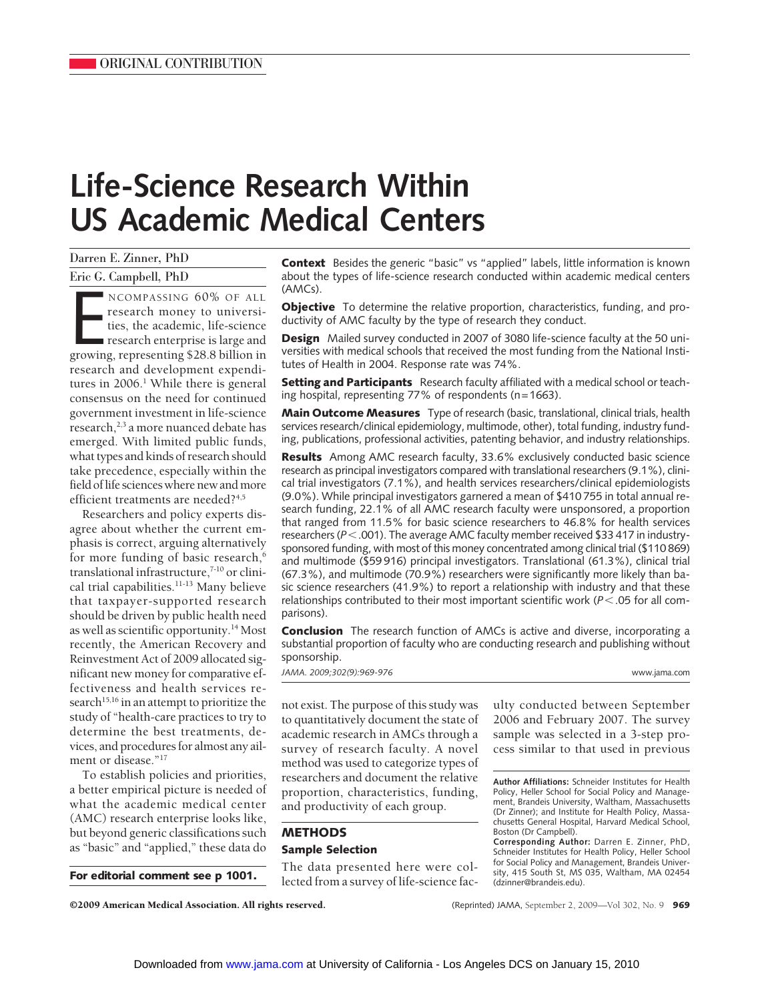# **Life-Science Research Within US Academic Medical Centers**

## Darren E. Zinner, PhD

## Eric G. Campbell, PhD

NCOMPASSING 60% OF ALL<br>research money to universi-<br>ties, the academic, life-science<br>research enterprise is large and<br>growing, representing \$28.8 billion in NCOMPASSING 60% OF ALL research money to universities, the academic, life-science research enterprise is large and research and development expenditures in  $2006<sup>1</sup>$  While there is general consensus on the need for continued government investment in life-science research,<sup>2,3</sup> a more nuanced debate has emerged. With limited public funds, what types and kinds of research should take precedence, especially within the field of life sciences where new and more efficient treatments are needed?<sup>4,5</sup>

Researchers and policy experts disagree about whether the current emphasis is correct, arguing alternatively for more funding of basic research,<sup>6</sup> translational infrastructure,<sup>7-10</sup> or clinical trial capabilities.<sup>11-13</sup> Many believe that taxpayer-supported research should be driven by public health need as well as scientific opportunity.<sup>14</sup> Most recently, the American Recovery and Reinvestment Act of 2009 allocated significant new money for comparative effectiveness and health services research<sup>15,16</sup> in an attempt to prioritize the study of "health-care practices to try to determine the best treatments, devices, and procedures for almost any ailment or disease."<sup>17</sup>

To establish policies and priorities, a better empirical picture is needed of what the academic medical center (AMC) research enterprise looks like, but beyond generic classifications such as "basic" and "applied," these data do

**For editorial comment see p 1001.**

**Context** Besides the generic "basic" vs "applied" labels, little information is known about the types of life-science research conducted within academic medical centers (AMCs).

**Objective** To determine the relative proportion, characteristics, funding, and productivity of AMC faculty by the type of research they conduct.

**Design** Mailed survey conducted in 2007 of 3080 life-science faculty at the 50 universities with medical schools that received the most funding from the National Institutes of Health in 2004. Response rate was 74%.

**Setting and Participants** Research faculty affiliated with a medical school or teaching hospital, representing 77% of respondents (n=1663).

**Main Outcome Measures** Type of research (basic, translational, clinical trials, health services research/clinical epidemiology, multimode, other), total funding, industry funding, publications, professional activities, patenting behavior, and industry relationships.

**Results** Among AMC research faculty, 33.6% exclusively conducted basic science research as principal investigators compared with translational researchers (9.1%), clinical trial investigators (7.1%), and health services researchers/clinical epidemiologists (9.0%). While principal investigators garnered a mean of \$410 755 in total annual research funding, 22.1% of all AMC research faculty were unsponsored, a proportion that ranged from 11.5% for basic science researchers to 46.8% for health services researchers ( $P < 0.001$ ). The average AMC faculty member received \$33 417 in industrysponsored funding, with most of this money concentrated among clinical trial (\$110 869) and multimode (\$59 916) principal investigators. Translational (61.3%), clinical trial (67.3%), and multimode (70.9%) researchers were significantly more likely than basic science researchers (41.9%) to report a relationship with industry and that these relationships contributed to their most important scientific work (*P*.05 for all comparisons).

**Conclusion** The research function of AMCs is active and diverse, incorporating a substantial proportion of faculty who are conducting research and publishing without sponsorship.

*JAMA. 2009;302(9):969-976* www.jama.com

not exist. The purpose of this study was to quantitatively document the state of academic research in AMCs through a survey of research faculty. A novel method was used to categorize types of researchers and document the relative proportion, characteristics, funding, and productivity of each group.

## **METHODS Sample Selection**

The data presented here were collected from a survey of life-science fac-

ulty conducted between September 2006 and February 2007. The survey sample was selected in a 3-step process similar to that used in previous

**Author Affiliations:** Schneider Institutes for Health Policy, Heller School for Social Policy and Management, Brandeis University, Waltham, Massachusetts (Dr Zinner); and Institute for Health Policy, Massachusetts General Hospital, Harvard Medical School, Boston (Dr Campbell).

**Corresponding Author:** Darren E. Zinner, PhD, Schneider Institutes for Health Policy, Heller School for Social Policy and Management, Brandeis University, 415 South St, MS 035, Waltham, MA 02454 (dzinner@brandeis.edu).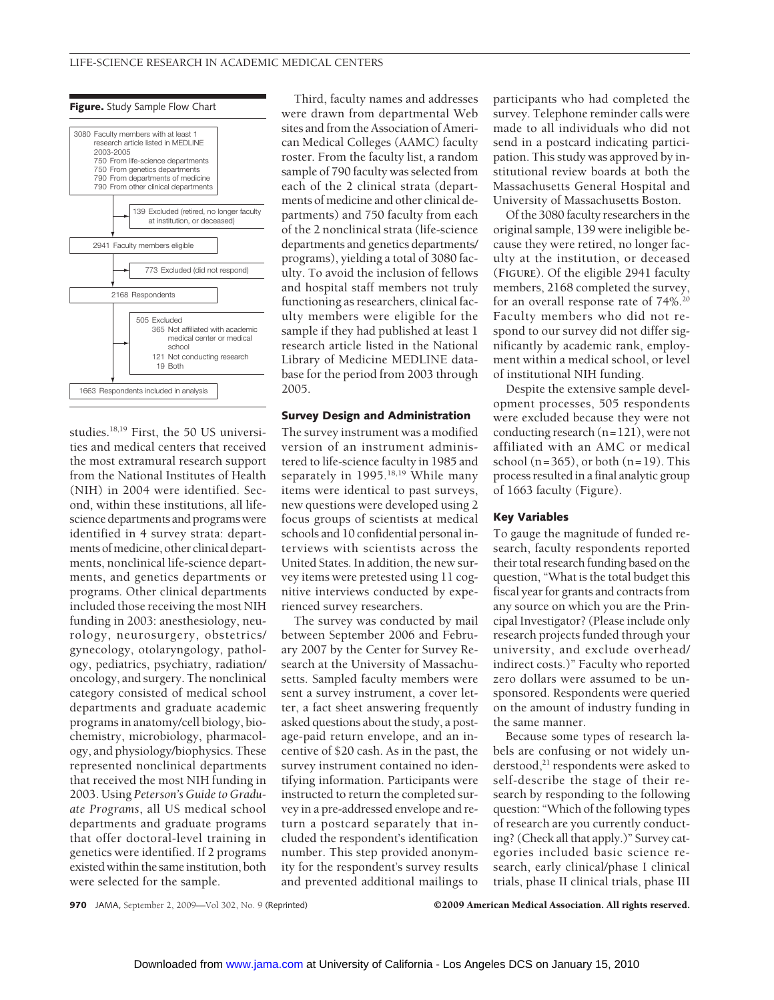**Figure.** Study Sample Flow Chart 1663 Respondents included in analysis 2168 Respondents 2941 Faculty members eligible 3080 Faculty members with at least 1 research article listed in MEDLINE 2003-2005 750 From life-science departments 750 From genetics departments 790 From departments of medicine 790 From other clinical departments 505 Excluded 365 Not affiliated with academic medical center or medical school 121 Not conducting research 19 Both 773 Excluded (did not respond) 139 Excluded (retired, no longer faculty at institution, or deceased)

studies.<sup>18,19</sup> First, the 50 US universities and medical centers that received the most extramural research support from the National Institutes of Health (NIH) in 2004 were identified. Second, within these institutions, all lifescience departments and programs were identified in 4 survey strata: departments of medicine, other clinical departments, nonclinical life-science departments, and genetics departments or programs. Other clinical departments included those receiving the most NIH funding in 2003: anesthesiology, neurology, neurosurgery, obstetrics/ gynecology, otolaryngology, pathology, pediatrics, psychiatry, radiation/ oncology, and surgery. The nonclinical category consisted of medical school departments and graduate academic programs in anatomy/cell biology, biochemistry, microbiology, pharmacology, and physiology/biophysics. These represented nonclinical departments that received the most NIH funding in 2003. Using *Peterson's Guide to Graduate Programs*, all US medical school departments and graduate programs that offer doctoral-level training in genetics were identified. If 2 programs existed within the same institution, both were selected for the sample.

Third, faculty names and addresses were drawn from departmental Web sites and from the Association of American Medical Colleges (AAMC) faculty roster. From the faculty list, a random sample of 790 faculty was selected from each of the 2 clinical strata (departments of medicine and other clinical departments) and 750 faculty from each of the 2 nonclinical strata (life-science departments and genetics departments/ programs), yielding a total of 3080 faculty. To avoid the inclusion of fellows and hospital staff members not truly functioning as researchers, clinical faculty members were eligible for the sample if they had published at least 1 research article listed in the National Library of Medicine MEDLINE database for the period from 2003 through 2005.

## **Survey Design and Administration**

The survey instrument was a modified version of an instrument administered to life-science faculty in 1985 and separately in 1995.<sup>18,19</sup> While many items were identical to past surveys, new questions were developed using 2 focus groups of scientists at medical schools and 10 confidential personal interviews with scientists across the United States. In addition, the new survey items were pretested using 11 cognitive interviews conducted by experienced survey researchers.

The survey was conducted by mail between September 2006 and February 2007 by the Center for Survey Research at the University of Massachusetts. Sampled faculty members were sent a survey instrument, a cover letter, a fact sheet answering frequently asked questions about the study, a postage-paid return envelope, and an incentive of \$20 cash. As in the past, the survey instrument contained no identifying information. Participants were instructed to return the completed survey in a pre-addressed envelope and return a postcard separately that included the respondent's identification number. This step provided anonymity for the respondent's survey results and prevented additional mailings to

participants who had completed the survey. Telephone reminder calls were made to all individuals who did not send in a postcard indicating participation. This study was approved by institutional review boards at both the Massachusetts General Hospital and University of Massachusetts Boston.

Of the 3080 faculty researchers in the original sample, 139 were ineligible because they were retired, no longer faculty at the institution, or deceased (**FIGURE**). Of the eligible 2941 faculty members, 2168 completed the survey, for an overall response rate of 74%.20 Faculty members who did not respond to our survey did not differ significantly by academic rank, employment within a medical school, or level of institutional NIH funding.

Despite the extensive sample development processes, 505 respondents were excluded because they were not conducting research (n=121), were not affiliated with an AMC or medical school ( $n=365$ ), or both ( $n=19$ ). This process resulted in a final analytic group of 1663 faculty (Figure).

## **Key Variables**

To gauge the magnitude of funded research, faculty respondents reported their total research funding based on the question, "What is the total budget this fiscal year for grants and contracts from any source on which you are the Principal Investigator? (Please include only research projects funded through your university, and exclude overhead/ indirect costs.)" Faculty who reported zero dollars were assumed to be unsponsored. Respondents were queried on the amount of industry funding in the same manner.

Because some types of research labels are confusing or not widely understood,<sup>21</sup> respondents were asked to self-describe the stage of their research by responding to the following question: "Which of the following types of research are you currently conducting? (Check all that apply.)" Survey categories included basic science research, early clinical/phase I clinical trials, phase II clinical trials, phase III

970 JAMA, September 2, 2009—Vol 302, No. 9 (Reprinted) **C2009 American Medical Association. All rights reserved.**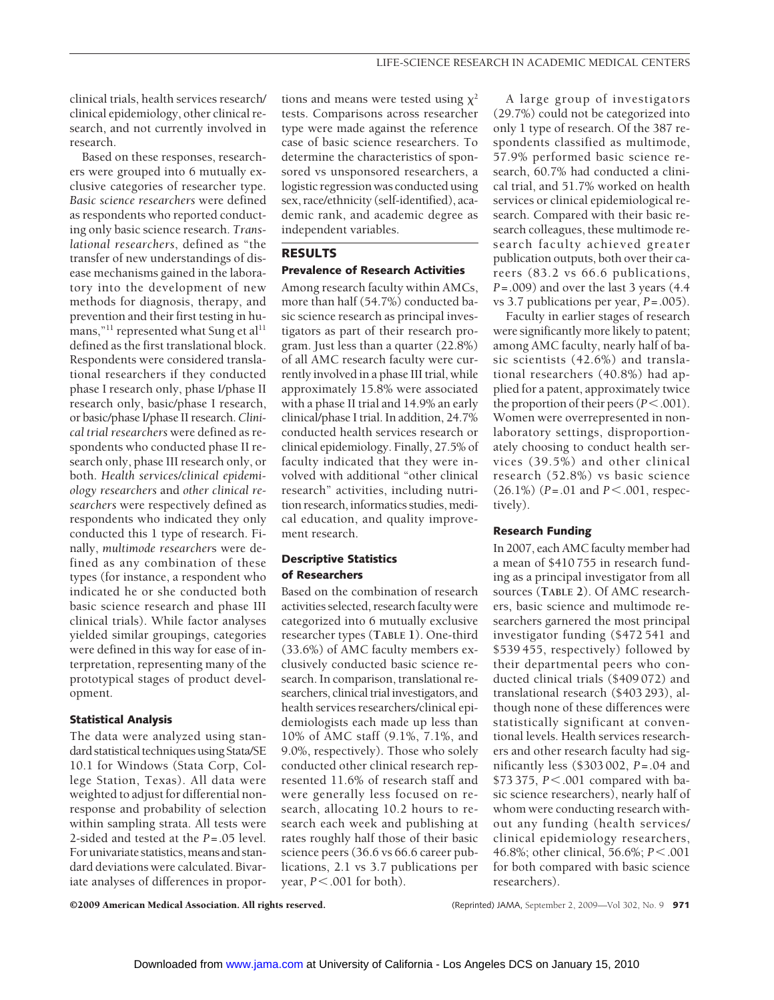clinical trials, health services research/ clinical epidemiology, other clinical research, and not currently involved in research.

Based on these responses, researchers were grouped into 6 mutually exclusive categories of researcher type. *Basic science researchers* were defined as respondents who reported conducting only basic science research. *Translational researchers*, defined as "the transfer of new understandings of disease mechanisms gained in the laboratory into the development of new methods for diagnosis, therapy, and prevention and their first testing in humans,"<sup>11</sup> represented what Sung et al<sup>11</sup> defined as the first translational block. Respondents were considered translational researchers if they conducted phase I research only, phase I/phase II research only, basic/phase I research, or basic/phase I/phase II research.*Clinical trial researchers* were defined as respondents who conducted phase II research only, phase III research only, or both. *Health services/clinical epidemiology researchers* and *other clinical researchers* were respectively defined as respondents who indicated they only conducted this 1 type of research. Finally, *multimode researcher*s were defined as any combination of these types (for instance, a respondent who indicated he or she conducted both basic science research and phase III clinical trials). While factor analyses yielded similar groupings, categories were defined in this way for ease of interpretation, representing many of the prototypical stages of product development.

#### **Statistical Analysis**

The data were analyzed using standard statistical techniques using Stata/SE 10.1 for Windows (Stata Corp, College Station, Texas). All data were weighted to adjust for differential nonresponse and probability of selection within sampling strata. All tests were 2-sided and tested at the *P*=.05 level. For univariate statistics, means and standard deviations were calculated. Bivariate analyses of differences in propor-

tions and means were tested using  $\chi^2$ tests. Comparisons across researcher type were made against the reference case of basic science researchers. To determine the characteristics of sponsored vs unsponsored researchers, a logistic regression was conducted using sex, race/ethnicity (self-identified), academic rank, and academic degree as independent variables.

## **RESULTS Prevalence of Research Activities**

Among research faculty within AMCs, more than half (54.7%) conducted basic science research as principal investigators as part of their research program. Just less than a quarter (22.8%) of all AMC research faculty were currently involved in a phase III trial, while approximately 15.8% were associated with a phase II trial and 14.9% an early clinical/phase I trial. In addition, 24.7% conducted health services research or clinical epidemiology. Finally, 27.5% of faculty indicated that they were involved with additional "other clinical research" activities, including nutrition research, informatics studies, medical education, and quality improvement research.

## **Descriptive Statistics of Researchers**

Based on the combination of research activities selected, research faculty were categorized into 6 mutually exclusive researcher types (**TABLE 1**). One-third (33.6%) of AMC faculty members exclusively conducted basic science research. In comparison, translational researchers, clinical trial investigators, and health services researchers/clinical epidemiologists each made up less than 10% of AMC staff (9.1%, 7.1%, and 9.0%, respectively). Those who solely conducted other clinical research represented 11.6% of research staff and were generally less focused on research, allocating 10.2 hours to research each week and publishing at rates roughly half those of their basic science peers (36.6 vs 66.6 career publications, 2.1 vs 3.7 publications per year,  $P < .001$  for both).

A large group of investigators (29.7%) could not be categorized into only 1 type of research. Of the 387 respondents classified as multimode, 57.9% performed basic science research, 60.7% had conducted a clinical trial, and 51.7% worked on health services or clinical epidemiological research. Compared with their basic research colleagues, these multimode research faculty achieved greater publication outputs, both over their careers (83.2 vs 66.6 publications, *P*=.009) and over the last 3 years (4.4 vs 3.7 publications per year, *P*=.005).

Faculty in earlier stages of research were significantly more likely to patent; among AMC faculty, nearly half of basic scientists (42.6%) and translational researchers (40.8%) had applied for a patent, approximately twice the proportion of their peers  $(P < .001)$ . Women were overrepresented in nonlaboratory settings, disproportionately choosing to conduct health services (39.5%) and other clinical research (52.8%) vs basic science  $(26.1\%)$  (*P*=.01 and *P*<.001, respectively).

## **Research Funding**

In 2007, each AMC faculty member had a mean of \$410 755 in research funding as a principal investigator from all sources (**TABLE 2**). Of AMC researchers, basic science and multimode researchers garnered the most principal investigator funding (\$472 541 and \$539 455, respectively) followed by their departmental peers who conducted clinical trials (\$409 072) and translational research (\$403 293), although none of these differences were statistically significant at conventional levels. Health services researchers and other research faculty had significantly less (\$303 002, *P*=.04 and \$73 375, *P*<.001 compared with basic science researchers), nearly half of whom were conducting research without any funding (health services/ clinical epidemiology researchers, 46.8%; other clinical, 56.6%; *P*.001 for both compared with basic science researchers).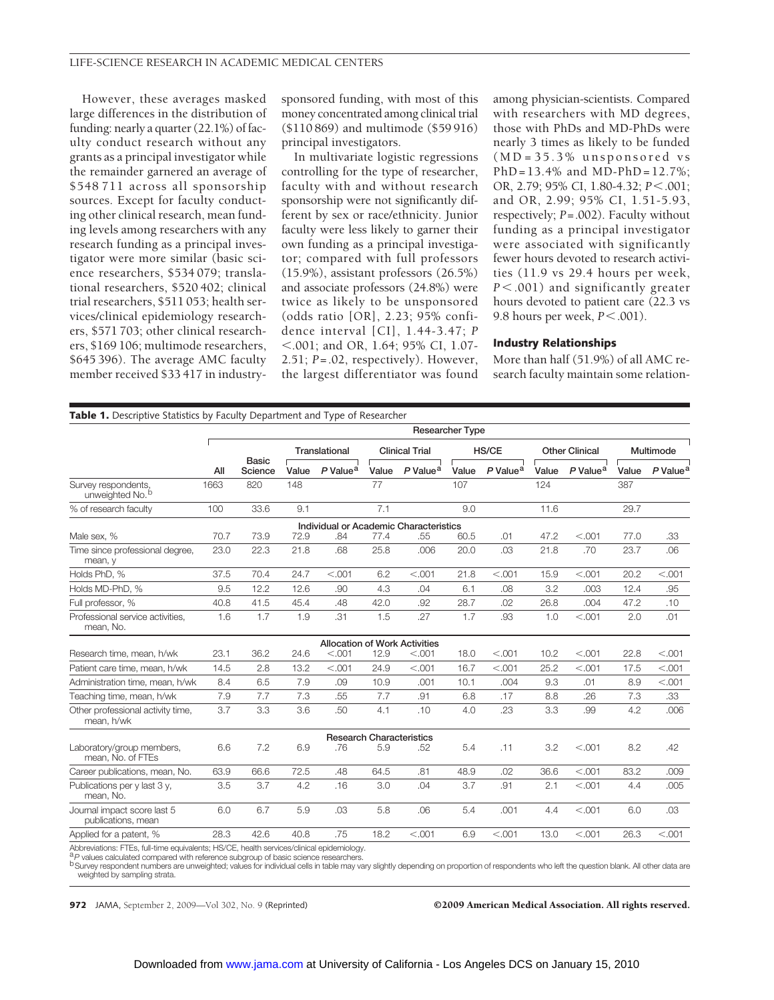However, these averages masked large differences in the distribution of funding: nearly a quarter (22.1%) of faculty conduct research without any grants as a principal investigator while the remainder garnered an average of \$548 711 across all sponsorship sources. Except for faculty conducting other clinical research, mean funding levels among researchers with any research funding as a principal investigator were more similar (basic science researchers, \$534 079; translational researchers, \$520 402; clinical trial researchers, \$511 053; health services/clinical epidemiology researchers, \$571 703; other clinical researchers, \$169 106; multimode researchers, \$645 396). The average AMC faculty member received \$33 417 in industrysponsored funding, with most of this money concentrated among clinical trial (\$110 869) and multimode (\$59 916) principal investigators.

In multivariate logistic regressions controlling for the type of researcher, faculty with and without research sponsorship were not significantly different by sex or race/ethnicity. Junior faculty were less likely to garner their own funding as a principal investigator; compared with full professors (15.9%), assistant professors (26.5%) and associate professors (24.8%) were twice as likely to be unsponsored (odds ratio [OR], 2.23; 95% confidence interval [CI], 1.44-3.47; *P* .001; and OR, 1.64; 95% CI, 1.07- 2.51; *P*=.02, respectively). However, the largest differentiator was found

among physician-scientists. Compared with researchers with MD degrees, those with PhDs and MD-PhDs were nearly 3 times as likely to be funded (MD=35.3% unsponsored vs PhD=13.4% and MD-PhD=12.7%; OR, 2.79; 95% CI, 1.80-4.32; *P* < .001; and OR, 2.99; 95% CI, 1.51-5.93, respectively; *P*=.002). Faculty without funding as a principal investigator were associated with significantly fewer hours devoted to research activities (11.9 vs 29.4 hours per week, *P* < .001) and significantly greater hours devoted to patient care (22.3 vs 9.8 hours per week,  $P \le 0.001$ .

#### **Industry Relationships**

More than half (51.9%) of all AMC research faculty maintain some relation-

| Table 1. Descriptive Statistics by Faculty Department and Type of Researcher              |                        |                  |                      |                                      |                       |                                        |       |                      |                       |                      |           |                      |
|-------------------------------------------------------------------------------------------|------------------------|------------------|----------------------|--------------------------------------|-----------------------|----------------------------------------|-------|----------------------|-----------------------|----------------------|-----------|----------------------|
|                                                                                           | <b>Researcher Type</b> |                  |                      |                                      |                       |                                        |       |                      |                       |                      |           |                      |
|                                                                                           | All                    |                  | <b>Translational</b> |                                      | <b>Clinical Trial</b> |                                        | HS/CE |                      | <b>Other Clinical</b> |                      | Multimode |                      |
|                                                                                           |                        | Basic<br>Science | Value                | P Value <sup>a</sup>                 | Value                 | P Value <sup>a</sup>                   | Value | P Value <sup>a</sup> | Value                 | P Value <sup>a</sup> | Value     | P Value <sup>a</sup> |
| Survey respondents,<br>unweighted No. <sup>b</sup>                                        | 1663                   | 820              | 148                  |                                      | 77                    |                                        | 107   |                      | 124                   |                      | 387       |                      |
| % of research faculty                                                                     | 100                    | 33.6             | 9.1                  |                                      | 7.1                   |                                        | 9.0   |                      | 11.6                  |                      | 29.7      |                      |
|                                                                                           |                        |                  |                      |                                      |                       | Individual or Academic Characteristics |       |                      |                       |                      |           |                      |
| Male sex, %                                                                               | 70.7                   | 73.9             | 72.9                 | .84                                  | 77.4                  | .55                                    | 60.5  | .01                  | 47.2                  | < .001               | 77.0      | .33                  |
| Time since professional degree,<br>mean, y                                                | 23.0                   | 22.3             | 21.8                 | .68                                  | 25.8                  | .006                                   | 20.0  | .03                  | 21.8                  | .70                  | 23.7      | .06                  |
| Holds PhD, %                                                                              | 37.5                   | 70.4             | 24.7                 | < 0.001                              | 6.2                   | < 0.001                                | 21.8  | < 0.001              | 15.9                  | < 0.001              | 20.2      | < .001               |
| Holds MD-PhD, %                                                                           | 9.5                    | 12.2             | 12.6                 | .90                                  | 4.3                   | .04                                    | 6.1   | .08                  | 3.2                   | .003                 | 12.4      | .95                  |
| Full professor, %                                                                         | 40.8                   | 41.5             | 45.4                 | .48                                  | 42.0                  | .92                                    | 28.7  | .02                  | 26.8                  | .004                 | 47.2      | .10                  |
| Professional service activities,<br>mean, No.                                             | 1.6                    | 1.7              | 1.9                  | .31                                  | 1.5                   | .27                                    | 1.7   | .93                  | 1.0                   | < 0.001              | 2.0       | .01                  |
|                                                                                           |                        |                  |                      | <b>Allocation of Work Activities</b> |                       |                                        |       |                      |                       |                      |           |                      |
| Research time, mean, h/wk                                                                 | 23.1                   | 36.2             | 24.6                 | < .001                               | 12.9                  | < .001                                 | 18.0  | < 0.001              | 10.2                  | < 0.001              | 22.8      | < .001               |
| Patient care time, mean, h/wk                                                             | 14.5                   | 2.8              | 13.2                 | < 0.001                              | 24.9                  | < 0.001                                | 16.7  | < .001               | 25.2                  | < 0.001              | 17.5      | < .001               |
| Administration time, mean, h/wk                                                           | 8.4                    | 6.5              | 7.9                  | .09                                  | 10.9                  | .001                                   | 10.1  | .004                 | 9.3                   | .01                  | 8.9       | < .001               |
| Teaching time, mean, h/wk                                                                 | 7.9                    | 7.7              | 7.3                  | .55                                  | 7.7                   | .91                                    | 6.8   | .17                  | 8.8                   | .26                  | 7.3       | .33                  |
| Other professional activity time,<br>mean, h/wk                                           | 3.7                    | 3.3              | 3.6                  | .50                                  | 4.1                   | .10                                    | 4.0   | .23                  | 3.3                   | .99                  | 4.2       | .006                 |
|                                                                                           |                        |                  |                      | <b>Research Characteristics</b>      |                       |                                        |       |                      |                       |                      |           |                      |
| Laboratory/group members,<br>mean, No. of FTEs                                            | 6.6                    | 7.2              | 6.9                  | .76                                  | 5.9                   | .52                                    | 5.4   | .11                  | 3.2                   | < 0.001              | 8.2       | .42                  |
| Career publications, mean, No.                                                            | 63.9                   | 66.6             | 72.5                 | .48                                  | 64.5                  | .81                                    | 48.9  | .02                  | 36.6                  | < 0.001              | 83.2      | .009                 |
| Publications per y last 3 y,<br>mean. No.                                                 | 3.5                    | 3.7              | 4.2                  | .16                                  | 3.0                   | .04                                    | 3.7   | .91                  | 2.1                   | < .001               | 4.4       | .005                 |
| Journal impact score last 5<br>publications, mean                                         | 6.0                    | 6.7              | 5.9                  | .03                                  | 5.8                   | .06                                    | 5.4   | .001                 | 4.4                   | < .001               | 6.0       | .03                  |
| Applied for a patent, %                                                                   | 28.3                   | 42.6             | 40.8                 | .75                                  | 18.2                  | < .001                                 | 6.9   | < .001               | 13.0                  | < .001               | 26.3      | < .001               |
| Abbreviations: FTEs, full-time equivalents; HS/CE, health services/clinical epidemiology. |                        |                  |                      |                                      |                       |                                        |       |                      |                       |                      |           |                      |

P values calculated compared with reference subgroup of basic science researchers.

<sup>b</sup> Survey respondent numbers are unweighted; values for individual cells in table may vary slightly depending on proportion of respondents who left the question blank. All other data are weighted by sampling strata.

**972** JAMA, September 2, 2009—Vol 302, No. 9 (Reprinted) ©2009 American Medical Association. All rights reserved.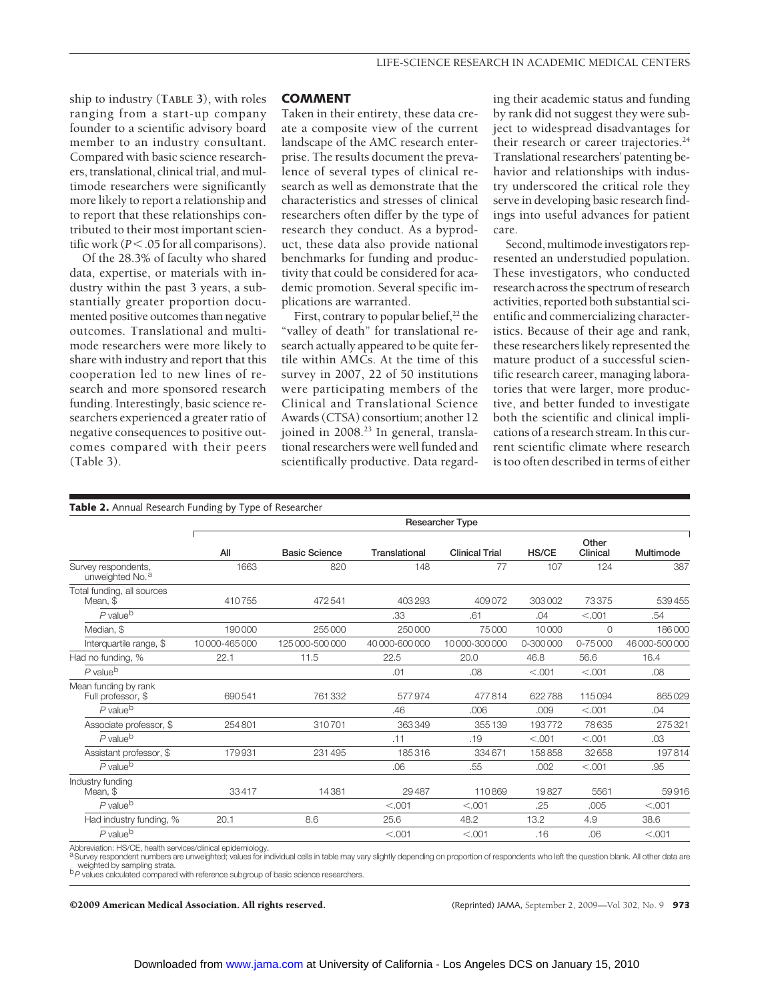ship to industry (**TABLE 3**), with roles ranging from a start-up company founder to a scientific advisory board member to an industry consultant. Compared with basic science researchers, translational, clinical trial, and multimode researchers were significantly more likely to report a relationship and to report that these relationships contributed to their most important scientific work ( $P < .05$  for all comparisons).

Of the 28.3% of faculty who shared data, expertise, or materials with industry within the past 3 years, a substantially greater proportion documented positive outcomes than negative outcomes. Translational and multimode researchers were more likely to share with industry and report that this cooperation led to new lines of research and more sponsored research funding. Interestingly, basic science researchers experienced a greater ratio of negative consequences to positive outcomes compared with their peers (Table 3).

## **COMMENT**

Taken in their entirety, these data create a composite view of the current landscape of the AMC research enterprise. The results document the prevalence of several types of clinical research as well as demonstrate that the characteristics and stresses of clinical researchers often differ by the type of research they conduct. As a byproduct, these data also provide national benchmarks for funding and productivity that could be considered for academic promotion. Several specific implications are warranted.

First, contrary to popular belief,  $22$  the "valley of death" for translational research actually appeared to be quite fertile within AMCs. At the time of this survey in 2007, 22 of 50 institutions were participating members of the Clinical and Translational Science Awards (CTSA) consortium; another 12 joined in 2008.<sup>23</sup> In general, translational researchers were well funded and scientifically productive. Data regard-

ing their academic status and funding by rank did not suggest they were subject to widespread disadvantages for their research or career trajectories.<sup>24</sup> Translational researchers' patenting behavior and relationships with industry underscored the critical role they serve in developing basic research findings into useful advances for patient care.

Second, multimode investigators represented an understudied population. These investigators, who conducted research across the spectrum of research activities, reported both substantial scientific and commercializing characteristics. Because of their age and rank, these researchers likely represented the mature product of a successful scientific research career, managing laboratories that were larger, more productive, and better funded to investigate both the scientific and clinical implications of a research stream. In this current scientific climate where research is too often described in terms of either

| Table 2. Annual Research Funding by Type of Researcher |                        |                      |                |                       |           |                   |                |  |  |
|--------------------------------------------------------|------------------------|----------------------|----------------|-----------------------|-----------|-------------------|----------------|--|--|
|                                                        | <b>Researcher Type</b> |                      |                |                       |           |                   |                |  |  |
|                                                        | All                    | <b>Basic Science</b> | Translational  | <b>Clinical Trial</b> | HS/CE     | Other<br>Clinical | Multimode      |  |  |
| Survey respondents,<br>unweighted No. <sup>a</sup>     | 1663                   | 820                  | 148            | 77                    | 107       | 124               | 387            |  |  |
| Total funding, all sources<br>Mean, \$                 | 410755                 | 472541               | 403293         | 409072                | 303002    | 73375             | 539455         |  |  |
| $P$ value $b$                                          |                        |                      | .33            | .61                   | .04       | < .001            | .54            |  |  |
| Median, \$                                             | 190000                 | 255000               | 250000         | 75000                 | 10000     | 0                 | 186000         |  |  |
| Interquartile range, \$                                | 10000-465000           | 125 000-500 000      | 40 000-600 000 | 10000-300000          | 0-300 000 | $0 - 75000$       | 46 000-500 000 |  |  |
| Had no funding, %                                      | 22.1                   | 11.5                 | 22.5           | 20.0                  | 46.8      | 56.6              | 16.4           |  |  |
| $P$ value <sup>b</sup>                                 |                        |                      | .01            | .08                   | < 0.001   | < 0.001           | .08            |  |  |
| Mean funding by rank<br>Full professor, \$             | 690541                 | 761332               | 577974         | 477814                | 622788    | 115094            | 865029         |  |  |
| $P$ value <sup>b</sup>                                 |                        |                      | .46            | .006                  | .009      | < 0.001           | .04            |  |  |
| Associate professor, \$                                | 254801                 | 310701               | 363349         | 355139                | 193772    | 78635             | 275321         |  |  |
| $P$ value <sup>b</sup>                                 |                        |                      | .11            | .19                   | < 0.001   | < 0.001           | .03            |  |  |
| Assistant professor, \$                                | 179931                 | 231 495              | 185316         | 334671                | 158858    | 32658             | 197814         |  |  |
| $P$ value <sup>b</sup>                                 |                        |                      | .06            | .55                   | .002      | < .001            | .95            |  |  |
| Industry funding<br>Mean, \$                           | 33417                  | 14381                | 29487          | 110869                | 19827     | 5561              | 59916          |  |  |
| $P$ value <sup>b</sup>                                 |                        |                      | < .001         | < 0.001               | .25       | .005              | < 0.001        |  |  |
| Had industry funding, %                                | 20.1                   | 8.6                  | 25.6           | 48.2                  | 13.2      | 4.9               | 38.6           |  |  |
| P value <sup>b</sup>                                   |                        |                      | < 0.001        | < 0.001               | .16       | .06               | < 0.001        |  |  |
| $\cdots$                                               | .                      |                      |                |                       |           |                   |                |  |  |

Abbreviation: HS/CE, health services/clinical epidemiology.<br><sup>a</sup>Survey respondent numbers are unweighted; values for individual cells in table may vary slightly depending on proportion of respondents who left the question b weighted by sampling strata.<br> *bP* values calculated compared with reference subgroup of basic science researchers.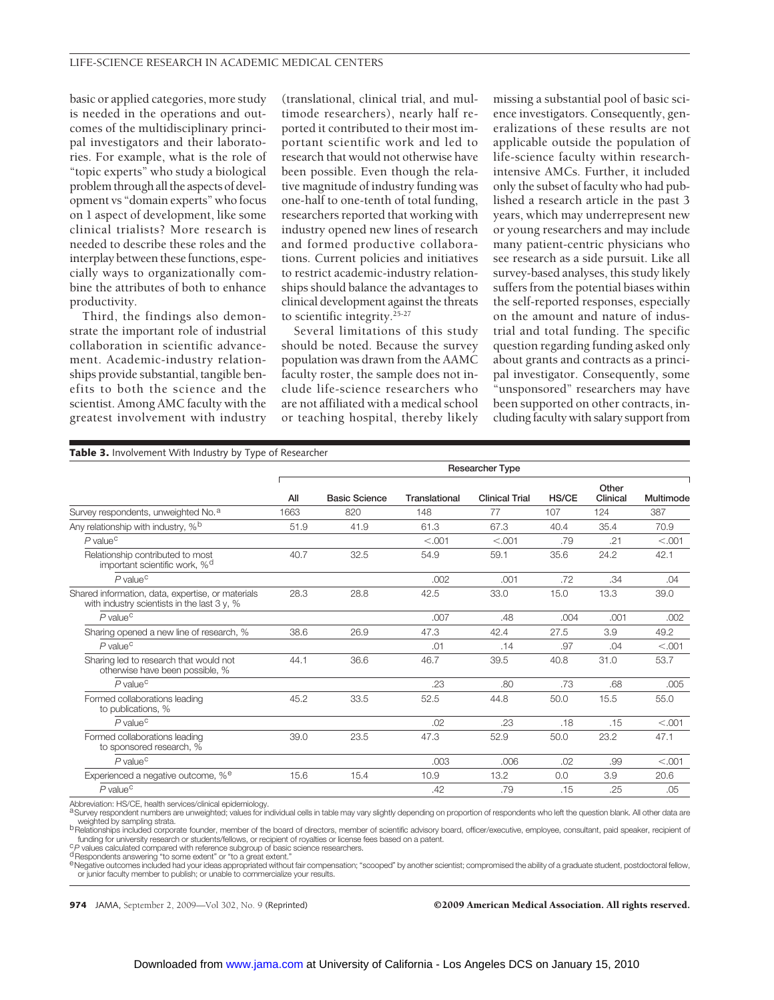basic or applied categories, more study is needed in the operations and outcomes of the multidisciplinary principal investigators and their laboratories. For example, what is the role of "topic experts" who study a biological problem through all the aspects of development vs "domain experts" who focus on 1 aspect of development, like some clinical trialists? More research is needed to describe these roles and the interplay between these functions, especially ways to organizationally combine the attributes of both to enhance productivity.

Third, the findings also demonstrate the important role of industrial collaboration in scientific advancement. Academic-industry relationships provide substantial, tangible benefits to both the science and the scientist. Among AMC faculty with the greatest involvement with industry (translational, clinical trial, and multimode researchers), nearly half reported it contributed to their most important scientific work and led to research that would not otherwise have been possible. Even though the relative magnitude of industry funding was one-half to one-tenth of total funding, researchers reported that working with industry opened new lines of research and formed productive collaborations. Current policies and initiatives to restrict academic-industry relationships should balance the advantages to clinical development against the threats to scientific integrity.25-27

Several limitations of this study should be noted. Because the survey population was drawn from the AAMC faculty roster, the sample does not include life-science researchers who are not affiliated with a medical school or teaching hospital, thereby likely

missing a substantial pool of basic science investigators. Consequently, generalizations of these results are not applicable outside the population of life-science faculty within researchintensive AMCs. Further, it included only the subset of faculty who had published a research article in the past 3 years, which may underrepresent new or young researchers and may include many patient-centric physicians who see research as a side pursuit. Like all survey-based analyses, this study likely suffers from the potential biases within the self-reported responses, especially on the amount and nature of industrial and total funding. The specific question regarding funding asked only about grants and contracts as a principal investigator. Consequently, some "unsponsored" researchers may have been supported on other contracts, including faculty with salary support from

|                                                                                                    | <b>Researcher Type</b> |                      |               |                       |       |                   |           |  |  |
|----------------------------------------------------------------------------------------------------|------------------------|----------------------|---------------|-----------------------|-------|-------------------|-----------|--|--|
|                                                                                                    | All                    | <b>Basic Science</b> | Translational | <b>Clinical Trial</b> | HS/CE | Other<br>Clinical | Multimode |  |  |
| Survey respondents, unweighted No. <sup>a</sup>                                                    | 1663                   | 820                  | 148           | 77                    | 107   | 124               | 387       |  |  |
| Any relationship with industry, % <sup>b</sup>                                                     | 51.9                   | 41.9                 | 61.3          | 67.3                  | 40.4  | 35.4              | 70.9      |  |  |
| $P$ value <sup>c</sup>                                                                             |                        |                      | < .001        | < 0.001               | .79   | .21               | < .001    |  |  |
| Relationship contributed to most<br>important scientific work, % <sup>d</sup>                      | 40.7                   | 32.5                 | 54.9          | 59.1                  | 35.6  | 24.2              | 42.1      |  |  |
| $P$ value <sup>c</sup>                                                                             |                        |                      | .002          | .001                  | .72   | .34               | .04       |  |  |
| Shared information, data, expertise, or materials<br>with industry scientists in the last $3y$ , % | 28.3                   | 28.8                 | 42.5          | 33.0                  | 15.0  | 13.3              | 39.0      |  |  |
| $P$ value <sup>c</sup>                                                                             |                        |                      | .007          | .48                   | .004  | .001              | .002      |  |  |
| Sharing opened a new line of research, %                                                           | 38.6                   | 26.9                 | 47.3          | 42.4                  | 27.5  | 3.9               | 49.2      |  |  |
| $P$ value <sup>c</sup>                                                                             |                        |                      | .01           | .14                   | .97   | .04               | < 0.001   |  |  |
| Sharing led to research that would not<br>otherwise have been possible, %                          | 44.1                   | 36.6                 | 46.7          | 39.5                  | 40.8  | 31.0              | 53.7      |  |  |
| $P$ value <sup>c</sup>                                                                             |                        |                      | .23           | .80                   | .73   | .68               | .005      |  |  |
| Formed collaborations leading<br>to publications, %                                                | 45.2                   | 33.5                 | 52.5          | 44.8                  | 50.0  | 15.5              | 55.0      |  |  |
| $P$ value <sup>c</sup>                                                                             |                        |                      | .02           | .23                   | .18   | .15               | < 0.001   |  |  |
| Formed collaborations leading<br>to sponsored research, %                                          | 39.0                   | 23.5                 | 47.3          | 52.9                  | 50.0  | 23.2              | 47.1      |  |  |
| $P$ value <sup>c</sup>                                                                             |                        |                      | .003          | .006                  | .02   | .99               | < .001    |  |  |
| Experienced a negative outcome, % <sup>e</sup>                                                     | 15.6                   | 15.4                 | 10.9          | 13.2                  | 0.0   | 3.9               | 20.6      |  |  |
| $P$ value <sup><math>C</math></sup>                                                                |                        |                      | .42           | .79                   | .15   | .25               | .05       |  |  |

Abbreviation: HS/CE, health services/clinical epidemiology.<br><sup>a</sup>Survey respondent numbers are unweighted; values for individual cells in table may vary slightly depending on proportion of respondents who left the question b

weighted by sampling strata.<br>BRelationships included corporate founder, member of the board of directors, member of scientific advisory board, officer/executive, employee, consultant, paid speaker, recipient of<br>funding for

 ${}^C P$  values calculated compared with reference subgroup of basic science researchers.<br><sup>d</sup> Respondents answering "to some extent" or "to a great extent."

e Negative outcomes included had your ideas appropriated without fair compensation; "scooped" by another scientist; compromised the ability of a graduate student, postdoctoral fellow, or junior faculty member to publish; o

**974** JAMA, September 2, 2009—Vol 302, No. 9 (Reprinted) **C2009 American Medical Association. All rights reserved.**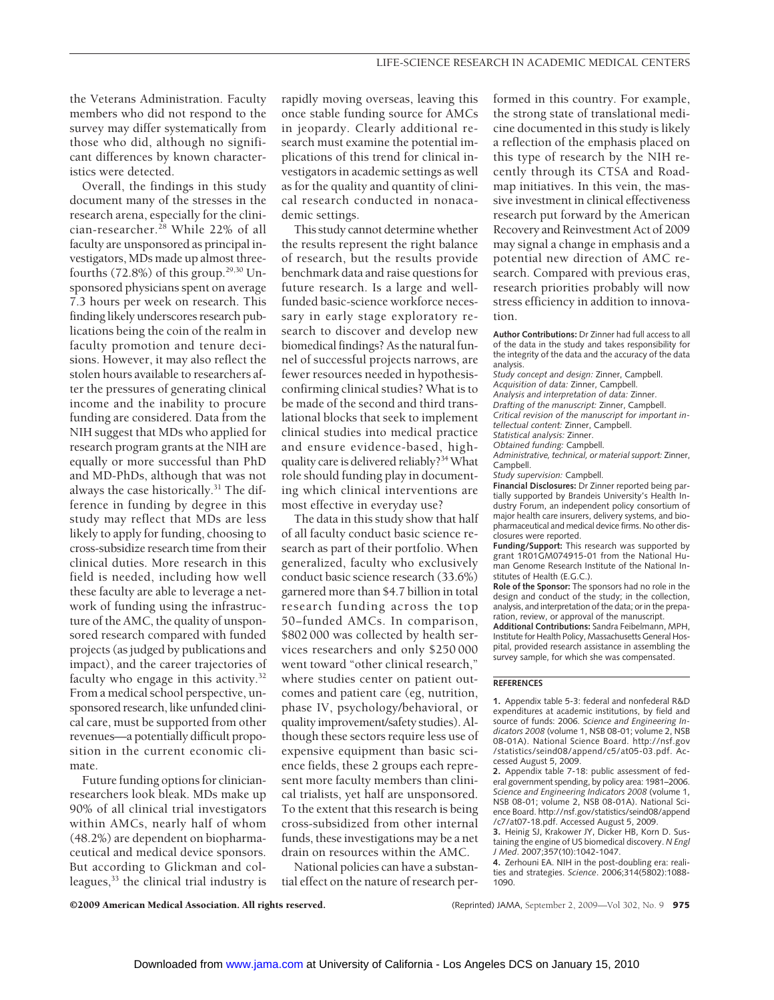the Veterans Administration. Faculty members who did not respond to the survey may differ systematically from those who did, although no significant differences by known characteristics were detected.

Overall, the findings in this study document many of the stresses in the research arena, especially for the clinician-researcher.<sup>28</sup> While 22% of all faculty are unsponsored as principal investigators, MDs made up almost threefourths  $(72.8\%)$  of this group.<sup>29,30</sup> Unsponsored physicians spent on average 7.3 hours per week on research. This finding likely underscores research publications being the coin of the realm in faculty promotion and tenure decisions. However, it may also reflect the stolen hours available to researchers after the pressures of generating clinical income and the inability to procure funding are considered. Data from the NIH suggest that MDs who applied for research program grants at the NIH are equally or more successful than PhD and MD-PhDs, although that was not always the case historically.<sup>31</sup> The difference in funding by degree in this study may reflect that MDs are less likely to apply for funding, choosing to cross-subsidize research time from their clinical duties. More research in this field is needed, including how well these faculty are able to leverage a network of funding using the infrastructure of the AMC, the quality of unsponsored research compared with funded projects (as judged by publications and impact), and the career trajectories of faculty who engage in this activity.<sup>32</sup> From a medical school perspective, unsponsored research, like unfunded clinical care, must be supported from other revenues—a potentially difficult proposition in the current economic climate.

Future funding options for clinicianresearchers look bleak. MDs make up 90% of all clinical trial investigators within AMCs, nearly half of whom (48.2%) are dependent on biopharmaceutical and medical device sponsors. But according to Glickman and colleagues,<sup>33</sup> the clinical trial industry is

rapidly moving overseas, leaving this once stable funding source for AMCs in jeopardy. Clearly additional research must examine the potential implications of this trend for clinical investigators in academic settings as well as for the quality and quantity of clinical research conducted in nonacademic settings.

This study cannot determine whether the results represent the right balance of research, but the results provide benchmark data and raise questions for future research. Is a large and wellfunded basic-science workforce necessary in early stage exploratory research to discover and develop new biomedical findings? As the natural funnel of successful projects narrows, are fewer resources needed in hypothesisconfirming clinical studies? What is to be made of the second and third translational blocks that seek to implement clinical studies into medical practice and ensure evidence-based, highquality care is delivered reliably?<sup>34</sup> What role should funding play in documenting which clinical interventions are most effective in everyday use?

The data in this study show that half of all faculty conduct basic science research as part of their portfolio. When generalized, faculty who exclusively conduct basic science research (33.6%) garnered more than \$4.7 billion in total research funding across the top 50−funded AMCs. In comparison, \$802 000 was collected by health services researchers and only \$250 000 went toward "other clinical research," where studies center on patient outcomes and patient care (eg, nutrition, phase IV, psychology/behavioral, or quality improvement/safety studies). Although these sectors require less use of expensive equipment than basic science fields, these 2 groups each represent more faculty members than clinical trialists, yet half are unsponsored. To the extent that this research is being cross-subsidized from other internal funds, these investigations may be a net drain on resources within the AMC.

National policies can have a substantial effect on the nature of research performed in this country. For example, the strong state of translational medicine documented in this study is likely a reflection of the emphasis placed on this type of research by the NIH recently through its CTSA and Roadmap initiatives. In this vein, the massive investment in clinical effectiveness research put forward by the American Recovery and Reinvestment Act of 2009 may signal a change in emphasis and a potential new direction of AMC research. Compared with previous eras, research priorities probably will now stress efficiency in addition to innovation.

**Author Contributions:** Dr Zinner had full access to all of the data in the study and takes responsibility for the integrity of the data and the accuracy of the data analysis. *Study concept and design:* Zinner, Campbell. *Acquisition of data:* Zinner, Campbell.

*Analysis and interpretation of data:* Zinner. *Drafting of the manuscript:* Zinner, Campbell. *Critical revision of the manuscript for important intellectual content:* Zinner, Campbell.

*Statistical analysis:* Zinner.

*Obtained funding:* Campbell.

*Administrative, technical, or material support:* Zinner, Campbell.

*Study supervision:* Campbell.

**Financial Disclosures:** Dr Zinner reported being partially supported by Brandeis University's Health Industry Forum, an independent policy consortium of major health care insurers, delivery systems, and biopharmaceutical and medical device firms. No other disclosures were reported.

**Funding/Support:** This research was supported by grant 1R01GM074915-01 from the National Human Genome Research Institute of the National Institutes of Health (E.G.C.).

**Role of the Sponsor:** The sponsors had no role in the design and conduct of the study; in the collection, analysis, and interpretation of the data; or in the preparation, review, or approval of the manuscript.

**Additional Contributions:** Sandra Feibelmann, MPH, Institute for Health Policy, Massachusetts General Hospital, provided research assistance in assembling the survey sample, for which she was compensated.

#### **REFERENCES**

**1.** Appendix table 5-3: federal and nonfederal R&D expenditures at academic institutions, by field and source of funds: 2006. *Science and Engineering Indicators 2008* (volume 1, NSB 08-01; volume 2, NSB 08-01A). National Science Board. http://nsf.gov /statistics/seind08/append/c5/at05-03.pdf. Accessed August 5, 2009.

**2.** Appendix table 7-18: public assessment of federal government spending, by policy area: 1981–2006. *Science and Engineering Indicators 2008* (volume 1, NSB 08-01; volume 2, NSB 08-01A). National Science Board. http://nsf.gov/statistics/seind08/append /c7/at07-18.pdf. Accessed August 5, 2009.

**3.** Heinig SJ, Krakower JY, Dicker HB, Korn D. Sustaining the engine of US biomedical discovery. *N Engl J Med*. 2007;357(10):1042-1047.

**4.** Zerhouni EA. NIH in the post-doubling era: realities and strategies. *Science*. 2006;314(5802):1088- 1090.